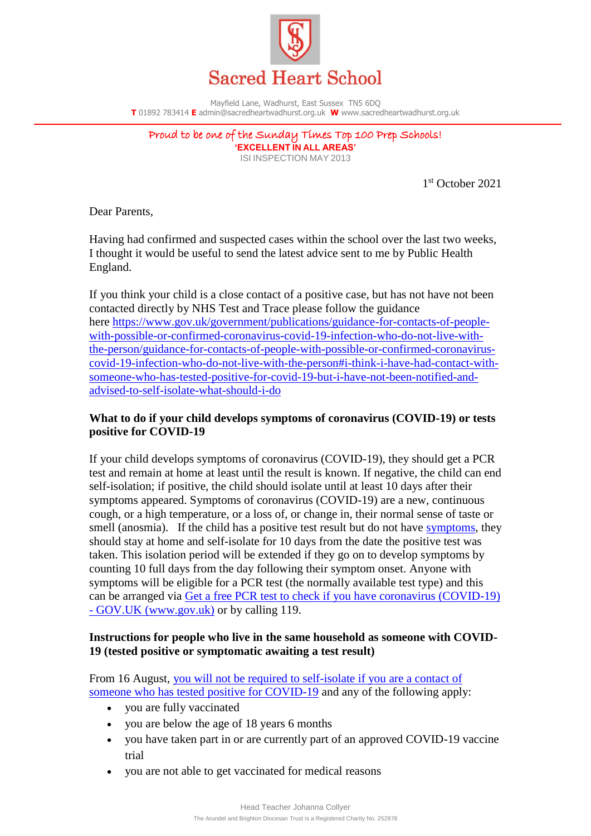

Mayfield Lane, Wadhurst, East Sussex TN5 6DQ **T** 01892 783414 **E** admin@sacredheartwadhurst.org.uk **W** www.sacredheartwadhurst.org.uk

Proud to be one of the Sunday Times Top 100 Prep Schools! **'EXCELLENT IN ALL AREAS'** ISI INSPECTION MAY 2013

1 st October 2021

Dear Parents,

Having had confirmed and suspected cases within the school over the last two weeks, I thought it would be useful to send the latest advice sent to me by Public Health England.

If you think your child is a close contact of a positive case, but has not have not been contacted directly by NHS Test and Trace please follow the guidance here [https://www.gov.uk/government/publications/guidance-for-contacts-of-people](https://www.gov.uk/government/publications/guidance-for-contacts-of-people-with-possible-or-confirmed-coronavirus-covid-19-infection-who-do-not-live-with-the-person/guidance-for-contacts-of-people-with-possible-or-confirmed-coronavirus-covid-19-infection-who-do-not-live-with-the-person#i-think-i-have-had-contact-with-someone-who-has-tested-positive-for-covid-19-but-i-have-not-been-notified-and-advised-to-self-isolate-what-should-i-do)[with-possible-or-confirmed-coronavirus-covid-19-infection-who-do-not-live-with](https://www.gov.uk/government/publications/guidance-for-contacts-of-people-with-possible-or-confirmed-coronavirus-covid-19-infection-who-do-not-live-with-the-person/guidance-for-contacts-of-people-with-possible-or-confirmed-coronavirus-covid-19-infection-who-do-not-live-with-the-person#i-think-i-have-had-contact-with-someone-who-has-tested-positive-for-covid-19-but-i-have-not-been-notified-and-advised-to-self-isolate-what-should-i-do)[the-person/guidance-for-contacts-of-people-with-possible-or-confirmed-coronavirus](https://www.gov.uk/government/publications/guidance-for-contacts-of-people-with-possible-or-confirmed-coronavirus-covid-19-infection-who-do-not-live-with-the-person/guidance-for-contacts-of-people-with-possible-or-confirmed-coronavirus-covid-19-infection-who-do-not-live-with-the-person#i-think-i-have-had-contact-with-someone-who-has-tested-positive-for-covid-19-but-i-have-not-been-notified-and-advised-to-self-isolate-what-should-i-do)[covid-19-infection-who-do-not-live-with-the-person#i-think-i-have-had-contact-with](https://www.gov.uk/government/publications/guidance-for-contacts-of-people-with-possible-or-confirmed-coronavirus-covid-19-infection-who-do-not-live-with-the-person/guidance-for-contacts-of-people-with-possible-or-confirmed-coronavirus-covid-19-infection-who-do-not-live-with-the-person#i-think-i-have-had-contact-with-someone-who-has-tested-positive-for-covid-19-but-i-have-not-been-notified-and-advised-to-self-isolate-what-should-i-do)[someone-who-has-tested-positive-for-covid-19-but-i-have-not-been-notified-and](https://www.gov.uk/government/publications/guidance-for-contacts-of-people-with-possible-or-confirmed-coronavirus-covid-19-infection-who-do-not-live-with-the-person/guidance-for-contacts-of-people-with-possible-or-confirmed-coronavirus-covid-19-infection-who-do-not-live-with-the-person#i-think-i-have-had-contact-with-someone-who-has-tested-positive-for-covid-19-but-i-have-not-been-notified-and-advised-to-self-isolate-what-should-i-do)[advised-to-self-isolate-what-should-i-do](https://www.gov.uk/government/publications/guidance-for-contacts-of-people-with-possible-or-confirmed-coronavirus-covid-19-infection-who-do-not-live-with-the-person/guidance-for-contacts-of-people-with-possible-or-confirmed-coronavirus-covid-19-infection-who-do-not-live-with-the-person#i-think-i-have-had-contact-with-someone-who-has-tested-positive-for-covid-19-but-i-have-not-been-notified-and-advised-to-self-isolate-what-should-i-do) 

# **What to do if your child develops symptoms of coronavirus (COVID-19) or tests positive for COVID-19**

If your child develops symptoms of coronavirus (COVID-19), they should get a PCR test and remain at home at least until the result is known. If negative, the child can end self-isolation; if positive, the child should isolate until at least 10 days after their symptoms appeared. Symptoms of coronavirus (COVID-19) are a new, continuous cough, or a high temperature, or a loss of, or change in, their normal sense of taste or smell (anosmia). If the child has a positive test result but do not have [symptoms,](https://www.gov.uk/government/publications/covid-19-stay-at-home-guidance/stay-at-home-guidance-for-households-with-possible-coronavirus-covid-19-infection#symptoms) they should stay at home and self-isolate for 10 days from the date the positive test was taken. This isolation period will be extended if they go on to develop symptoms by counting 10 full days from the day following their symptom onset. Anyone with symptoms will be eligible for a PCR test (the normally available test type) and this can be arranged via [Get a free PCR test to check if you have coronavirus \(COVID-19\)](https://www.gov.uk/get-coronavirus-test)  - [GOV.UK \(www.gov.uk\)](https://www.gov.uk/get-coronavirus-test) or by calling 119.

## **Instructions for people who live in the same household as someone with COVID-19 (tested positive or symptomatic awaiting a test result)**

From 16 August, [you will not be required to self-isolate if you are a contact of](https://www.gov.uk/government/publications/covid-19-stay-at-home-guidance/stay-at-home-guidance-for-households-with-possible-coronavirus-covid-19-infection#exempt)  [someone who has tested positive for COVID-19](https://www.gov.uk/government/publications/covid-19-stay-at-home-guidance/stay-at-home-guidance-for-households-with-possible-coronavirus-covid-19-infection#exempt) and any of the following apply:

- you are fully vaccinated
- you are below the age of 18 years 6 months
- you have taken part in or are currently part of an approved COVID-19 vaccine trial
- you are not able to get vaccinated for medical reasons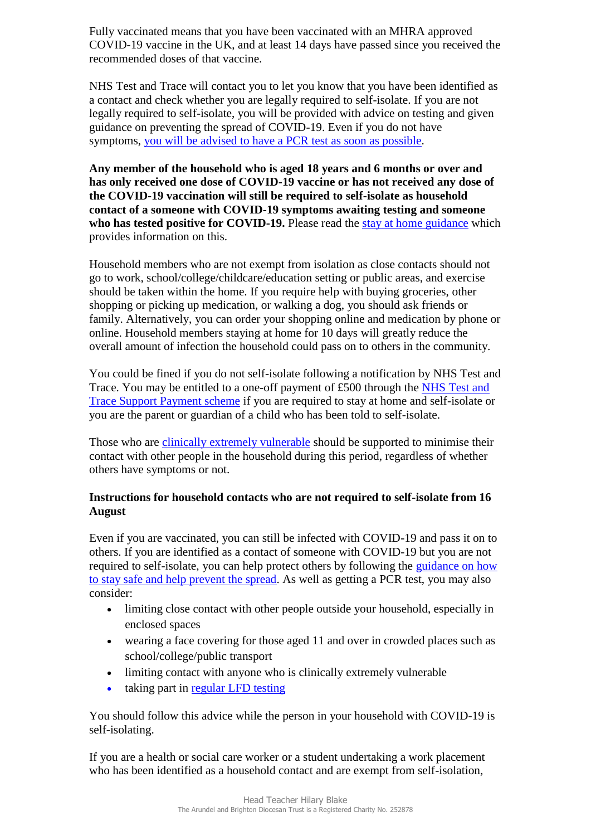Fully vaccinated means that you have been vaccinated with an MHRA approved COVID-19 vaccine in the UK, and at least 14 days have passed since you received the recommended doses of that vaccine.

NHS Test and Trace will contact you to let you know that you have been identified as a contact and check whether you are legally required to self-isolate. If you are not legally required to self-isolate, you will be provided with advice on testing and given guidance on preventing the spread of COVID-19. Even if you do not have symptoms, [you will be advised to have a](https://www.gov.uk/government/publications/covid-19-stay-at-home-guidance/stay-at-home-guidance-for-households-with-possible-coronavirus-covid-19-infection#PCR) PCR test as soon as possible.

**Any member of the household who is aged 18 years and 6 months or over and has only received one dose of COVID-19 vaccine or has not received any dose of the COVID-19 vaccination will still be required to self-isolate as household contact of a someone with COVID-19 symptoms awaiting testing and someone who has tested positive for COVID-19.** Please read the [stay at home guidance](https://www.gov.uk/government/publications/covid-19-stay-at-home-guidance) which provides information on this.

Household members who are not exempt from isolation as close contacts should not go to work, school/college/childcare/education setting or public areas, and exercise should be taken within the home. If you require help with buying groceries, other shopping or picking up medication, or walking a dog, you should ask friends or family. Alternatively, you can order your shopping online and medication by phone or online. Household members staying at home for 10 days will greatly reduce the overall amount of infection the household could pass on to others in the community.

You could be fined if you do not self-isolate following a notification by NHS Test and Trace. You may be entitled to a one-off payment of £500 through the [NHS Test and](https://www.gov.uk/government/publications/test-and-trace-support-payment-scheme-claiming-financial-support/claiming-financial-support-under-the-test-and-trace-support-payment-scheme)  [Trace Support Payment scheme](https://www.gov.uk/government/publications/test-and-trace-support-payment-scheme-claiming-financial-support/claiming-financial-support-under-the-test-and-trace-support-payment-scheme) if you are required to stay at home and self-isolate or you are the parent or guardian of a child who has been told to self-isolate.

Those who are [clinically extremely vulnerable](https://www.gov.uk/government/publications/guidance-on-shielding-and-protecting-extremely-vulnerable-persons-from-covid-19/guidance-on-shielding-and-protecting-extremely-vulnerable-persons-from-covid-19) should be supported to minimise their contact with other people in the household during this period, regardless of whether others have symptoms or not.

# **Instructions for household contacts who are not required to self-isolate from 16 August**

Even if you are vaccinated, you can still be infected with COVID-19 and pass it on to others. If you are identified as a contact of someone with COVID-19 but you are not required to self-isolate, you can help protect others by following the [guidance on how](https://www.gov.uk/guidance/covid-19-coronavirus-restrictions-what-you-can-and-cannot-do#keeping-yourself-and-others-safe)  [to stay safe and help prevent the spread.](https://www.gov.uk/guidance/covid-19-coronavirus-restrictions-what-you-can-and-cannot-do#keeping-yourself-and-others-safe) As well as getting a PCR test, you may also consider:

- limiting close contact with other people outside your household, especially in enclosed spaces
- wearing a face covering for those aged 11 and over in crowded places such as school/college/public transport
- limiting contact with anyone who is clinically extremely vulnerable
- taking part in [regular](https://www.gov.uk/order-coronavirus-rapid-lateral-flow-tests) LFD testing

You should follow this advice while the person in your household with COVID-19 is self-isolating.

If you are a health or social care worker or a student undertaking a work placement who has been identified as a household contact and are exempt from self-isolation,